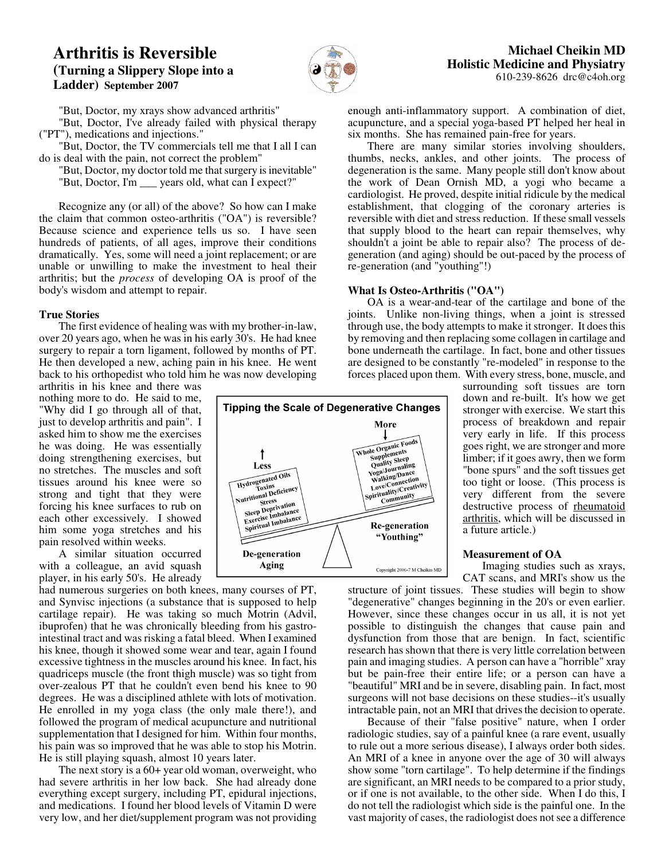# **Arthritis is Reversible (Turning a Slippery Slope into a Ladder) September 2007**



"But, Doctor, my xrays show advanced arthritis"

"But, Doctor, I've already failed with physical therapy ("PT"), medications and injections."

"But, Doctor, the TV commercials tell me that I all I can do is deal with the pain, not correct the problem"

"But, Doctor, my doctor told me that surgery is inevitable" "But, Doctor, I'm \_\_\_ years old, what can I expect?"

Recognize any (or all) of the above? So how can I make the claim that common osteo-arthritis ("OA") is reversible? Because science and experience tells us so. I have seen hundreds of patients, of all ages, improve their conditions dramatically. Yes, some will need a joint replacement; or are unable or unwilling to make the investment to heal their arthritis; but the *process* of developing OA is proof of the body's wisdom and attempt to repair.

### **True Stories**

The first evidence of healing was with my brother-in-law, over 20 years ago, when he was in his early 30's. He had knee surgery to repair a torn ligament, followed by months of PT. He then developed a new, aching pain in his knee. He went back to his orthopedist who told him he was now developing

arthritis in his knee and there was nothing more to do. He said to me, "Why did I go through all of that, just to develop arthritis and pain". I asked him to show me the exercises he was doing. He was essentially doing strengthening exercises, but no stretches. The muscles and soft tissues around his knee were so strong and tight that they were forcing his knee surfaces to rub on each other excessively. I showed him some yoga stretches and his pain resolved within weeks.

A similar situation occurred with a colleague, an avid squash player, in his early 50's. He already

had numerous surgeries on both knees, many courses of PT, and Synvisc injections (a substance that is supposed to help cartilage repair). He was taking so much Motrin (Advil, ibuprofen) that he was chronically bleeding from his gastrointestinal tract and was risking a fatal bleed. When I examined his knee, though it showed some wear and tear, again I found excessive tightness in the muscles around his knee. In fact, his quadriceps muscle (the front thigh muscle) was so tight from over-zealous PT that he couldn't even bend his knee to 90 degrees. He was a disciplined athlete with lots of motivation. He enrolled in my yoga class (the only male there!), and followed the program of medical acupuncture and nutritional supplementation that I designed for him. Within four months, his pain was so improved that he was able to stop his Motrin. He is still playing squash, almost 10 years later.

The next story is a 60+ year old woman, overweight, who had severe arthritis in her low back. She had already done everything except surgery, including PT, epidural injections, and medications. I found her blood levels of Vitamin D were very low, and her diet/supplement program was not providing enough anti-inflammatory support. A combination of diet, acupuncture, and a special yoga-based PT helped her heal in six months. She has remained pain-free for years.

There are many similar stories involving shoulders, thumbs, necks, ankles, and other joints. The process of degeneration is the same. Many people still don't know about the work of Dean Ornish MD, a yogi who became a cardiologist. He proved, despite initial ridicule by the medical establishment, that clogging of the coronary arteries is reversible with diet and stress reduction. If these small vessels that supply blood to the heart can repair themselves, why shouldn't a joint be able to repair also? The process of degeneration (and aging) should be out-paced by the process of re-generation (and "youthing"!)

### **What Is Osteo-Arthritis ("OA")**

OA is a wear-and-tear of the cartilage and bone of the joints. Unlike non-living things, when a joint is stressed through use, the body attempts to make it stronger. It does this by removing and then replacing some collagen in cartilage and bone underneath the cartilage. In fact, bone and other tissues are designed to be constantly "re-modeled" in response to the forces placed upon them. With every stress, bone, muscle, and



surrounding soft tissues are torn down and re-built. It's how we get stronger with exercise. We start this process of breakdown and repair very early in life. If this process goes right, we are stronger and more limber; if it goes awry, then we form "bone spurs" and the soft tissues get too tight or loose. (This process is very different from the severe destructive process of rheumatoid arthritis, which will be discussed in a future article.)

#### **Measurement of OA**

Imaging studies such as xrays, CAT scans, and MRI's show us the

structure of joint tissues. These studies will begin to show "degenerative" changes beginning in the 20's or even earlier. However, since these changes occur in us all, it is not yet possible to distinguish the changes that cause pain and dysfunction from those that are benign. In fact, scientific research has shown that there is very little correlation between pain and imaging studies. A person can have a "horrible" xray but be pain-free their entire life; or a person can have a "beautiful" MRI and be in severe, disabling pain. In fact, most surgeons will not base decisions on these studies--it's usually intractable pain, not an MRI that drives the decision to operate.

Because of their "false positive" nature, when I order radiologic studies, say of a painful knee (a rare event, usually to rule out a more serious disease), I always order both sides. An MRI of a knee in anyone over the age of 30 will always show some "torn cartilage". To help determine if the findings are significant, an MRI needs to be compared to a prior study, or if one is not available, to the other side. When I do this, I do not tell the radiologist which side is the painful one. In the vast majority of cases, the radiologist does not see a difference